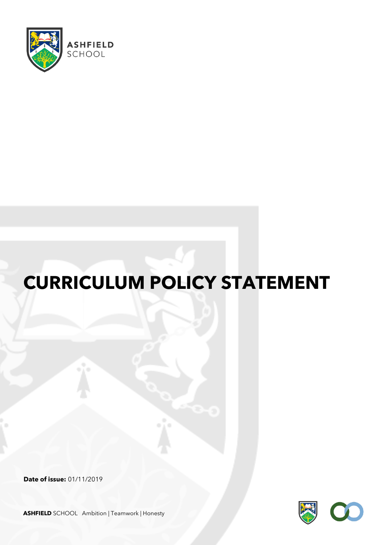

# **CURRICULUM POLICY STATEMENT**

**Date of issue:** 01/11/2019



**ASHFIELD** SCHOOL Ambition | Teamwork | Honesty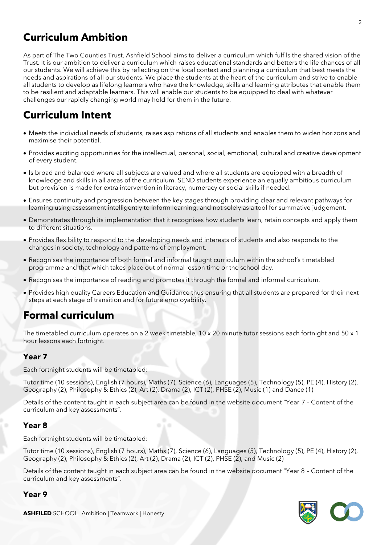# **Curriculum Ambition**

As part of The Two Counties Trust, Ashfield School aims to deliver a curriculum which fulfils the shared vision of the Trust. It is our ambition to deliver a curriculum which raises educational standards and betters the life chances of all our students. We will achieve this by reflecting on the local context and planning a curriculum that best meets the needs and aspirations of all our students. We place the students at the heart of the curriculum and strive to enable all students to develop as lifelong learners who have the knowledge, skills and learning attributes that enable them to be resilient and adaptable learners. This will enable our students to be equipped to deal with whatever challenges our rapidly changing world may hold for them in the future.

# **Curriculum Intent**

- Meets the individual needs of students, raises aspirations of all students and enables them to widen horizons and maximise their potential.
- Provides exciting opportunities for the intellectual, personal, social, emotional, cultural and creative development of every student.
- Is broad and balanced where all subjects are valued and where all students are equipped with a breadth of knowledge and skills in all areas of the curriculum. SEND students experience an equally ambitious curriculum but provision is made for extra intervention in literacy, numeracy or social skills if needed.
- Ensures continuity and progression between the key stages through providing clear and relevant pathways for learning using assessment intelligently to inform learning, and not solely as a tool for summative judgement.
- Demonstrates through its implementation that it recognises how students learn, retain concepts and apply them to different situations.
- Provides flexibility to respond to the developing needs and interests of students and also responds to the changes in society, technology and patterns of employment.
- Recognises the importance of both formal and informal taught curriculum within the school's timetabled programme and that which takes place out of normal lesson time or the school day.
- Recognises the importance of reading and promotes it through the formal and informal curriculum.
- Provides high quality Careers Education and Guidance thus ensuring that all students are prepared for their next steps at each stage of transition and for future employability.

## **Formal curriculum**

The timetabled curriculum operates on a 2 week timetable, 10 x 20 minute tutor sessions each fortnight and 50 x 1 hour lessons each fortnight.

## **Year 7**

Each fortnight students will be timetabled:

Tutor time (10 sessions), English (7 hours), Maths (7), Science (6), Languages (5), Technology (5), PE (4), History (2), Geography (2), Philosophy & Ethics (2), Art (2), Drama (2), ICT (2), PHSE (2), Music (1) and Dance (1)

Details of the content taught in each subject area can be found in the website document "Year 7 – Content of the curriculum and key assessments".

#### **Year 8**

Each fortnight students will be timetabled:

Tutor time (10 sessions), English (7 hours), Maths (7), Science (6), Languages (5), Technology (5), PE (4), History (2), Geography (2), Philosophy & Ethics (2), Art (2), Drama (2), ICT (2), PHSE (2), and Music (2)

Details of the content taught in each subject area can be found in the website document "Year 8 – Content of the curriculum and key assessments".

#### **Year 9**

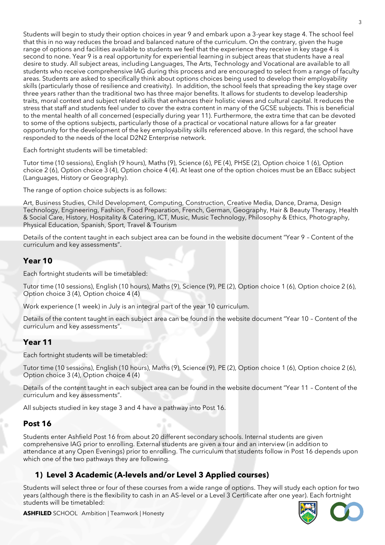Students will begin to study their option choices in year 9 and embark upon a 3-year key stage 4. The school feel that this in no way reduces the broad and balanced nature of the curriculum. On the contrary, given the huge range of options and facilities available to students we feel that the experience they receive in key stage 4 is second to none. Year 9 is a real opportunity for experiential learning in subject areas that students have a real desire to study. All subject areas, including Languages, The Arts, Technology and Vocational are available to all students who receive comprehensive IAG during this process and are encouraged to select from a range of faculty areas. Students are asked to specifically think about options choices being used to develop their employability skills (particularly those of resilience and creativity). In addition, the school feels that spreading the key stage over three years rather than the traditional two has three major benefits. It allows for students to develop leadership traits, moral context and subject related skills that enhances their holistic views and cultural capital. It reduces the stress that staff and students feel under to cover the extra content in many of the GCSE subjects. This is beneficial to the mental health of all concerned (especially during year 11). Furthermore, the extra time that can be devoted to some of the options subjects, particularly those of a practical or vocational nature allows for a far greater opportunity for the development of the key employability skills referenced above. In this regard, the school have responded to the needs of the local D2N2 Enterprise network.

Each fortnight students will be timetabled:

Tutor time (10 sessions), English (9 hours), Maths (9), Science (6), PE (4), PHSE (2), Option choice 1 (6), Option choice 2 (6), Option choice 3 (4), Option choice 4 (4). At least one of the option choices must be an EBacc subject (Languages, History or Geography).

The range of option choice subjects is as follows:

Art, Business Studies, Child Development, Computing, Construction, Creative Media, Dance, Drama, Design Technology, Engineering, Fashion, Food Preparation, French, German, Geography, Hair & Beauty Therapy, Health & Social Care, History, Hospitality & Catering, ICT, Music, Music Technology, Philosophy & Ethics, Photography, Physical Education, Spanish, Sport, Travel & Tourism

Details of the content taught in each subject area can be found in the website document "Year 9 – Content of the curriculum and key assessments".

#### **Year 10**

Each fortnight students will be timetabled:

Tutor time (10 sessions), English (10 hours), Maths (9), Science (9), PE (2), Option choice 1 (6), Option choice 2 (6), Option choice 3 (4), Option choice 4 (4)

Work experience (1 week) in July is an integral part of the year 10 curriculum.

Details of the content taught in each subject area can be found in the website document "Year 10 – Content of the curriculum and key assessments".

#### **Year 11**

Each fortnight students will be timetabled:

Tutor time (10 sessions), English (10 hours), Maths (9), Science (9), PE (2), Option choice 1 (6), Option choice 2 (6), Option choice 3 (4), Option choice 4 (4)

Details of the content taught in each subject area can be found in the website document "Year 11 – Content of the curriculum and key assessments".

All subjects studied in key stage 3 and 4 have a pathway into Post 16.

#### **Post 16**

Students enter Ashfield Post 16 from about 20 different secondary schools. Internal students are given comprehensive IAG prior to enrolling. External students are given a tour and an interview (in addition to attendance at any Open Evenings) prior to enrolling. The curriculum that students follow in Post 16 depends upon which one of the two pathways they are following.

#### **1) Level 3 Academic (A-levels and/or Level 3 Applied courses)**

Students will select three or four of these courses from a wide range of options. They will study each option for two years (although there is the flexibility to cash in an AS-level or a Level 3 Certificate after one year). Each fortnight students will be timetabled:



#### **ASHFILED** SCHOOL Ambition | Teamwork | Honesty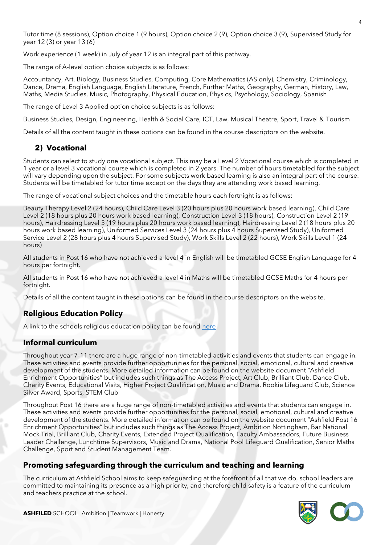Tutor time (8 sessions), Option choice 1 (9 hours), Option choice 2 (9), Option choice 3 (9), Supervised Study for year 12 (3) or year 13 (6)

Work experience (1 week) in July of year 12 is an integral part of this pathway.

The range of A-level option choice subjects is as follows:

Accountancy, Art, Biology, Business Studies, Computing, Core Mathematics (AS only), Chemistry, Criminology, Dance, Drama, English Language, English Literature, French, Further Maths, Geography, German, History, Law, Maths, Media Studies, Music, Photography, Physical Education, Physics, Psychology, Sociology, Spanish

The range of Level 3 Applied option choice subjects is as follows:

Business Studies, Design, Engineering, Health & Social Care, ICT, Law, Musical Theatre, Sport, Travel & Tourism

Details of all the content taught in these options can be found in the course descriptors on the website.

#### **2) Vocational**

Students can select to study one vocational subject. This may be a Level 2 Vocational course which is completed in 1 year or a level 3 vocational course which is completed in 2 years. The number of hours timetabled for the subject will vary depending upon the subject. For some subjects work based learning is also an integral part of the course. Students will be timetabled for tutor time except on the days they are attending work based learning.

The range of vocational subject choices and the timetable hours each fortnight is as follows:

Beauty Therapy Level 2 (24 hours), Child Care Level 3 (20 hours plus 20 hours work based learning), Child Care Level 2 (18 hours plus 20 hours work based learning), Construction Level 3 (18 hours), Construction Level 2 (19 hours), Hairdressing Level 3 (19 hours plus 20 hours work based learning), Hairdressing Level 2 (18 hours plus 20 hours work based learning), Uniformed Services Level 3 (24 hours plus 4 hours Supervised Study), Uniformed Service Level 2 (28 hours plus 4 hours Supervised Study), Work Skills Level 2 (22 hours), Work Skills Level 1 (24 hours)

All students in Post 16 who have not achieved a level 4 in English will be timetabled GCSE English Language for 4 hours per fortnight.

All students in Post 16 who have not achieved a level 4 in Maths will be timetabled GCSE Maths for 4 hours per fortnight.

Details of all the content taught in these options can be found in the course descriptors on the website.

## **Religious Education Policy**

A link to the schools religious education policy can be found [here](http://fluencycontent2-schoolwebsite.netdna-ssl.com/FileCluster/AshfieldComprehensive/MainFolder/Files/Policies/2019/Nov/Religious-Education-Policy-Nov-2019.pdf)

#### **Informal curriculum**

Throughout year 7-11 there are a huge range of non-timetabled activities and events that students can engage in. These activities and events provide further opportunities for the personal, social, emotional, cultural and creative development of the students. More detailed information can be found on the website document "Ashfield Enrichment Opportunities" but includes such things as The Access Project, Art Club, Brilliant Club, Dance Club, Charity Events, Educational Visits, Higher Project Qualification, Music and Drama, Rookie Lifeguard Club, Science Silver Award, Sports, STEM Club

Throughout Post 16 there are a huge range of non-timetabled activities and events that students can engage in. These activities and events provide further opportunities for the personal, social, emotional, cultural and creative development of the students. More detailed information can be found on the website document "Ashfield Post 16 Enrichment Opportunities" but includes such things as The Access Project, Ambition Nottingham, Bar National Mock Trial, Brilliant Club, Charity Events, Extended Project Qualification, Faculty Ambassadors, Future Business Leader Challenge, Lunchtime Supervisors, Music and Drama, National Pool Lifeguard Qualification, Senior Maths Challenge, Sport and Student Management Team.

#### **Promoting safeguarding through the curriculum and teaching and learning**

The curriculum at Ashfield School aims to keep safeguarding at the forefront of all that we do, school leaders are committed to maintaining its presence as a high priority, and therefore child safety is a feature of the curriculum and teachers practice at the school.